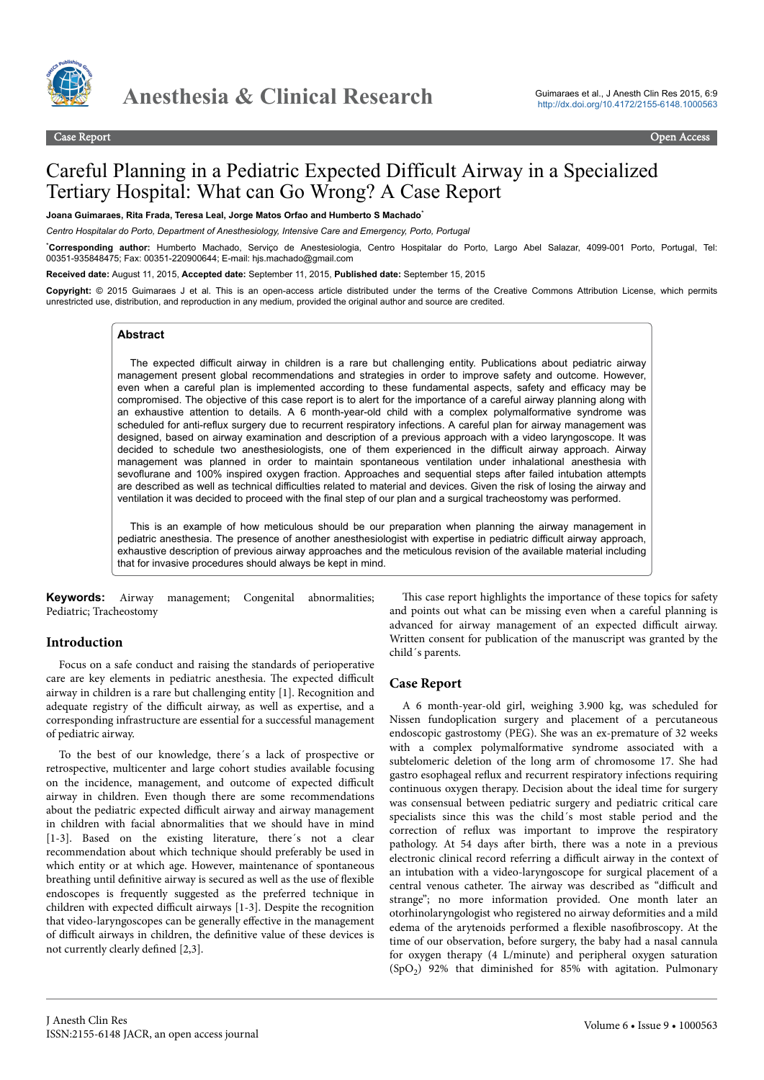

# Careful Planning in a Pediatric Expected Difficult Airway in a Specialized Tertiary Hospital: What can Go Wrong? A Case Report

**Joana Guimaraes, Rita Frada, Teresa Leal, Jorge Matos Orfao and Humberto S Machado**\*

*Centro Hospitalar do Porto, Department of Anesthesiology, Intensive Care and Emergency, Porto, Portugal*

\***Corresponding author:** Humberto Machado, Serviço de Anestesiologia, Centro Hospitalar do Porto, Largo Abel Salazar, 4099-001 Porto, Portugal, Tel: 00351-935848475; Fax: 00351-220900644; E-mail: hjs.machado@gmail.com

**Received date:** August 11, 2015, **Accepted date:** September 11, 2015, **Published date:** September 15, 2015

**Copyright:** © 2015 Guimaraes J et al. This is an open-access article distributed under the terms of the Creative Commons Attribution License, which permits unrestricted use, distribution, and reproduction in any medium, provided the original author and source are credited.

### **Abstract**

The expected difficult airway in children is a rare but challenging entity. Publications about pediatric airway management present global recommendations and strategies in order to improve safety and outcome. However, even when a careful plan is implemented according to these fundamental aspects, safety and efficacy may be compromised. The objective of this case report is to alert for the importance of a careful airway planning along with an exhaustive attention to details. A 6 month-year-old child with a complex polymalformative syndrome was scheduled for anti-reflux surgery due to recurrent respiratory infections. A careful plan for airway management was designed, based on airway examination and description of a previous approach with a video laryngoscope. It was decided to schedule two anesthesiologists, one of them experienced in the difficult airway approach. Airway management was planned in order to maintain spontaneous ventilation under inhalational anesthesia with sevoflurane and 100% inspired oxygen fraction. Approaches and sequential steps after failed intubation attempts are described as well as technical difficulties related to material and devices. Given the risk of losing the airway and ventilation it was decided to proceed with the final step of our plan and a surgical tracheostomy was performed.

This is an example of how meticulous should be our preparation when planning the airway management in pediatric anesthesia. The presence of another anesthesiologist with expertise in pediatric difficult airway approach, exhaustive description of previous airway approaches and the meticulous revision of the available material including that for invasive procedures should always be kept in mind.

**Keywords:** Airway management; Congenital abnormalities; Pediatric; Tracheostomy

#### **Introduction**

Focus on a safe conduct and raising the standards of perioperative care are key elements in pediatric anesthesia. The expected difficult airway in children is a rare but challenging entity [1]. Recognition and adequate registry of the difficult airway, as well as expertise, and a corresponding infrastructure are essential for a successful management of pediatric airway.

To the best of our knowledge, there´s a lack of prospective or retrospective, multicenter and large cohort studies available focusing on the incidence, management, and outcome of expected difficult airway in children. Even though there are some recommendations about the pediatric expected difficult airway and airway management in children with facial abnormalities that we should have in mind [1-3]. Based on the existing literature, there's not a clear recommendation about which technique should preferably be used in which entity or at which age. However, maintenance of spontaneous breathing until definitive airway is secured as well as the use of flexible endoscopes is frequently suggested as the preferred technique in children with expected difficult airways [1-3]. Despite the recognition that video-laryngoscopes can be generally effective in the management of difficult airways in children, the definitive value of these devices is not currently clearly defined [2,3].

This case report highlights the importance of these topics for safety and points out what can be missing even when a careful planning is advanced for airway management of an expected difficult airway. Written consent for publication of the manuscript was granted by the child´s parents.

#### **Case Report**

A 6 month-year-old girl, weighing 3.900 kg, was scheduled for Nissen fundoplication surgery and placement of a percutaneous endoscopic gastrostomy (PEG). She was an ex-premature of 32 weeks with a complex polymalformative syndrome associated with a subtelomeric deletion of the long arm of chromosome 17. She had gastro esophageal reflux and recurrent respiratory infections requiring continuous oxygen therapy. Decision about the ideal time for surgery was consensual between pediatric surgery and pediatric critical care specialists since this was the child´s most stable period and the correction of reflux was important to improve the respiratory pathology. At 54 days after birth, there was a note in a previous electronic clinical record referring a difficult airway in the context of an intubation with a video-laryngoscope for surgical placement of a central venous catheter. The airway was described as "difficult and strange"; no more information provided. One month later an otorhinolaryngologist who registered no airway deformities and a mild edema of the arytenoids performed a flexible nasofibroscopy. At the time of our observation, before surgery, the baby had a nasal cannula for oxygen therapy (4 L/minute) and peripheral oxygen saturation (SpO<sup>2</sup> ) 92% that diminished for 85% with agitation. Pulmonary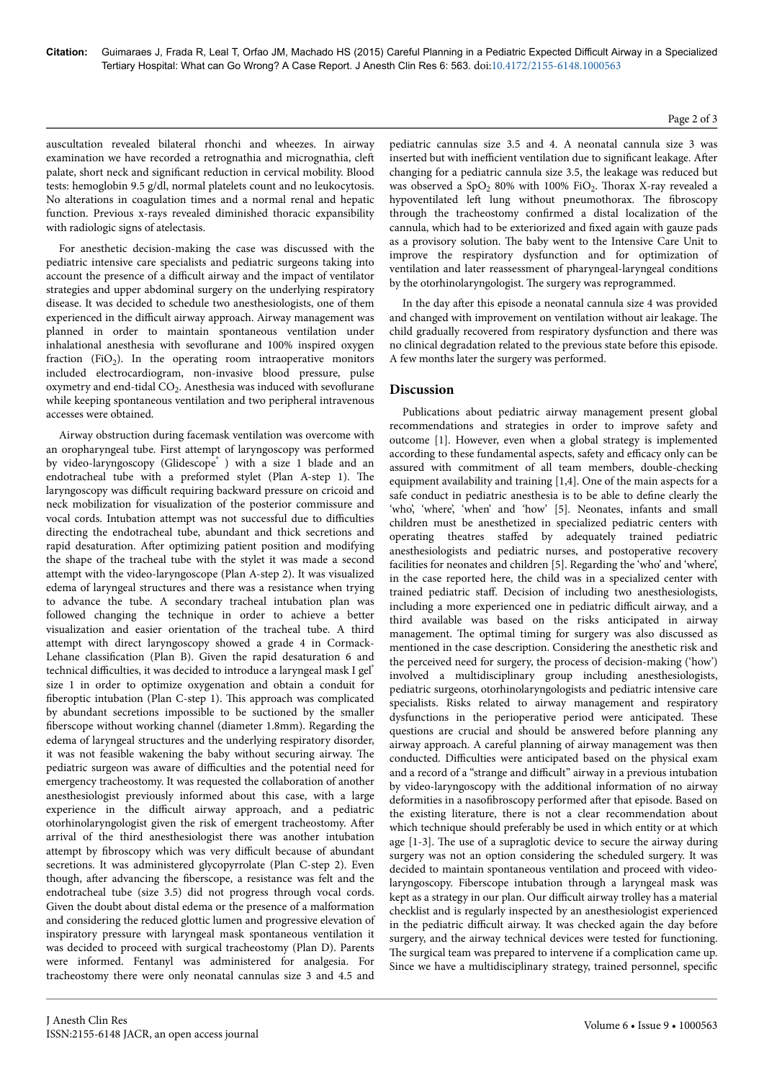auscultation revealed bilateral rhonchi and wheezes. In airway examination we have recorded a retrognathia and micrognathia, cleft palate, short neck and significant reduction in cervical mobility. Blood tests: hemoglobin 9.5 g/dl, normal platelets count and no leukocytosis. No alterations in coagulation times and a normal renal and hepatic function. Previous x-rays revealed diminished thoracic expansibility with radiologic signs of atelectasis.

For anesthetic decision-making the case was discussed with the pediatric intensive care specialists and pediatric surgeons taking into account the presence of a difficult airway and the impact of ventilator strategies and upper abdominal surgery on the underlying respiratory disease. It was decided to schedule two anesthesiologists, one of them experienced in the difficult airway approach. Airway management was planned in order to maintain spontaneous ventilation under inhalational anesthesia with sevoflurane and 100% inspired oxygen fraction (FiO<sub>2</sub>). In the operating room intraoperative monitors included electrocardiogram, non-invasive blood pressure, pulse oxymetry and end-tidal  $CO<sub>2</sub>$ . Anesthesia was induced with sevoflurane while keeping spontaneous ventilation and two peripheral intravenous accesses were obtained.

Airway obstruction during facemask ventilation was overcome with an oropharyngeal tube. First attempt of laryngoscopy was performed by video-laryngoscopy (Glidescope®) with a size 1 blade and an endotracheal tube with a preformed stylet (Plan A-step 1). Нe laryngoscopy was difficult requiring backward pressure on cricoid and neck mobilization for visualization of the posterior commissure and vocal cords. Intubation attempt was not successful due to difficulties directing the endotracheal tube, abundant and thick secretions and rapid desaturation. After optimizing patient position and modifying the shape of the tracheal tube with the stylet it was made a second attempt with the video-laryngoscope (Plan A-step 2). It was visualized edema of laryngeal structures and there was a resistance when trying to advance the tube. A secondary tracheal intubation plan was followed changing the technique in order to achieve a better visualization and easier orientation of the tracheal tube. A third attempt with direct laryngoscopy showed a grade 4 in Cormack-Lehane classification (Plan B). Given the rapid desaturation 6 and technical difficulties, it was decided to introduce a laryngeal mask I gel® size 1 in order to optimize oxygenation and obtain a conduit for fiberoptic intubation (Plan C-step 1). This approach was complicated by abundant secretions impossible to be suctioned by the smaller fiberscope without working channel (diameter 1.8mm). Regarding the edema of laryngeal structures and the underlying respiratory disorder, it was not feasible wakening the baby without securing airway. Нe pediatric surgeon was aware of difficulties and the potential need for emergency tracheostomy. It was requested the collaboration of another anesthesiologist previously informed about this case, with a large experience in the difficult airway approach, and a pediatric otorhinolaryngologist given the risk of emergent tracheostomy. After arrival of the third anesthesiologist there was another intubation attempt by fibroscopy which was very difficult because of abundant secretions. It was administered glycopyrrolate (Plan C-step 2). Even though, after advancing the fiberscope, a resistance was felt and the endotracheal tube (size 3.5) did not progress through vocal cords. Given the doubt about distal edema or the presence of a malformation and considering the reduced glottic lumen and progressive elevation of inspiratory pressure with laryngeal mask spontaneous ventilation it was decided to proceed with surgical tracheostomy (Plan D). Parents were informed. Fentanyl was administered for analgesia. For tracheostomy there were only neonatal cannulas size 3 and 4.5 and

pediatric cannulas size 3.5 and 4. A neonatal cannula size 3 was inserted but with inefficient ventilation due to significant leakage. After changing for a pediatric cannula size 3.5, the leakage was reduced but was observed a SpO<sub>2</sub> 80% with 100% FiO<sub>2</sub>. Thorax X-ray revealed a hypoventilated left lung without pneumothorax. The fibroscopy through the tracheostomy confirmed a distal localization of the cannula, which had to be exteriorized and fixed again with gauze pads as a provisory solution. Нe baby went to the Intensive Care Unit to improve the respiratory dysfunction and for optimization of ventilation and later reassessment of pharyngeal-laryngeal conditions by the otorhinolaryngologist. Нe surgery was reprogrammed.

In the day after this episode a neonatal cannula size 4 was provided and changed with improvement on ventilation without air leakage. Нe child gradually recovered from respiratory dysfunction and there was no clinical degradation related to the previous state before this episode. A few months later the surgery was performed.

# **Discussion**

Publications about pediatric airway management present global recommendations and strategies in order to improve safety and outcome [1]. However, even when a global strategy is implemented according to these fundamental aspects, safety and efficacy only can be assured with commitment of all team members, double-checking equipment availability and training [1,4]. One of the main aspects for a safe conduct in pediatric anesthesia is to be able to define clearly the 'who', 'where', 'when' and 'how' [5]. Neonates, infants and small children must be anesthetized in specialized pediatric centers with operating theatres staffed by adequately trained pediatric anesthesiologists and pediatric nurses, and postoperative recovery facilities for neonates and children [5]. Regarding the 'who' and 'where', in the case reported here, the child was in a specialized center with trained pediatric staff. Decision of including two anesthesiologists, including a more experienced one in pediatric difficult airway, and a third available was based on the risks anticipated in airway management. Нe optimal timing for surgery was also discussed as mentioned in the case description. Considering the anesthetic risk and the perceived need for surgery, the process of decision-making ('how') involved a multidisciplinary group including anesthesiologists, pediatric surgeons, otorhinolaryngologists and pediatric intensive care specialists. Risks related to airway management and respiratory dysfunctions in the perioperative period were anticipated. Нese questions are crucial and should be answered before planning any airway approach. A careful planning of airway management was then conducted. Difficulties were anticipated based on the physical exam and a record of a "strange and difficult" airway in a previous intubation by video-laryngoscopy with the additional information of no airway deformities in a nasofibroscopy performed after that episode. Based on the existing literature, there is not a clear recommendation about which technique should preferably be used in which entity or at which age [1-3]. Нe use of a supraglotic device to secure the airway during surgery was not an option considering the scheduled surgery. It was decided to maintain spontaneous ventilation and proceed with videolaryngoscopy. Fiberscope intubation through a laryngeal mask was kept as a strategy in our plan. Our difficult airway trolley has a material checklist and is regularly inspected by an anesthesiologist experienced in the pediatric difficult airway. It was checked again the day before surgery, and the airway technical devices were tested for functioning. The surgical team was prepared to intervene if a complication came up. Since we have a multidisciplinary strategy, trained personnel, specific